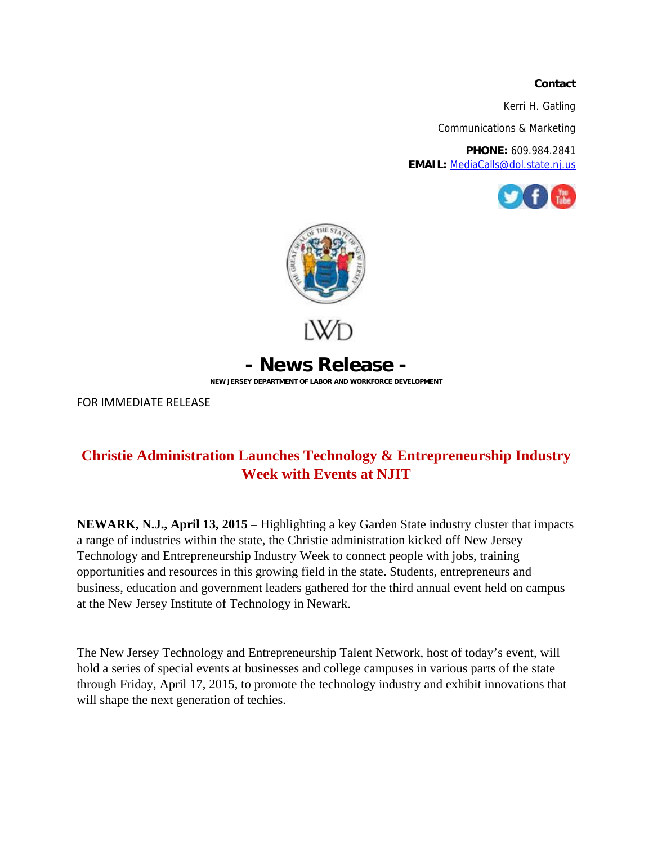## **Contact**

Kerri H. Gatling

Communications & Marketing

**PHONE:** 609.984.2841 **EMAIL:** MediaCalls@dol.state.nj.us





FOR IMMEDIATE RELEASE

## **Christie Administration Launches Technology & Entrepreneurship Industry Week with Events at NJIT**

**NEWARK, N.J., April 13, 2015** – Highlighting a key Garden State industry cluster that impacts a range of industries within the state, the Christie administration kicked off New Jersey Technology and Entrepreneurship Industry Week to connect people with jobs, training opportunities and resources in this growing field in the state. Students, entrepreneurs and business, education and government leaders gathered for the third annual event held on campus at the New Jersey Institute of Technology in Newark.

The New Jersey Technology and Entrepreneurship Talent Network, host of today's event, will hold a series of special events at businesses and college campuses in various parts of the state through Friday, April 17, 2015, to promote the technology industry and exhibit innovations that will shape the next generation of techies.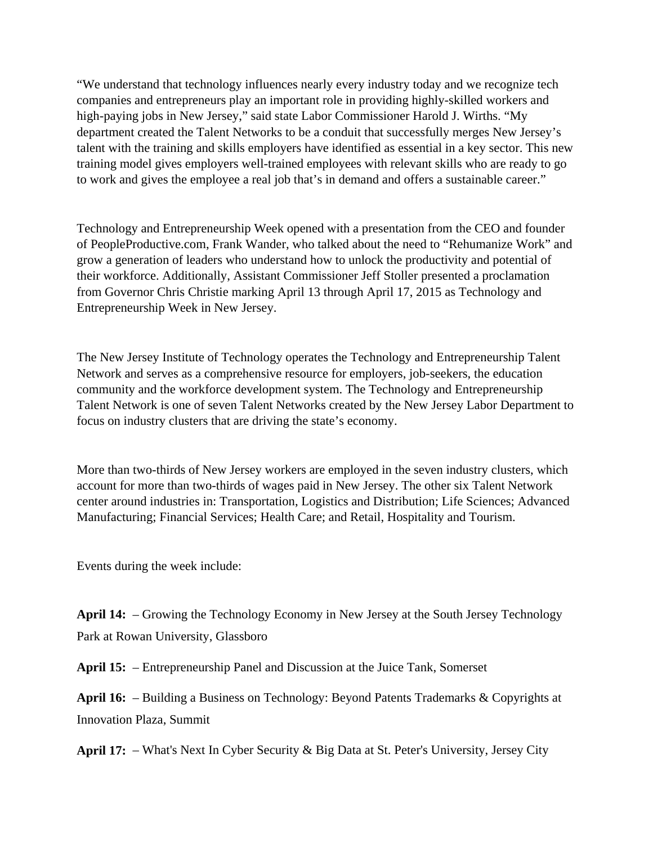"We understand that technology influences nearly every industry today and we recognize tech companies and entrepreneurs play an important role in providing highly-skilled workers and high-paying jobs in New Jersey," said state Labor Commissioner Harold J. Wirths. "My department created the Talent Networks to be a conduit that successfully merges New Jersey's talent with the training and skills employers have identified as essential in a key sector. This new training model gives employers well-trained employees with relevant skills who are ready to go to work and gives the employee a real job that's in demand and offers a sustainable career."

Technology and Entrepreneurship Week opened with a presentation from the CEO and founder of PeopleProductive.com, Frank Wander, who talked about the need to "Rehumanize Work" and grow a generation of leaders who understand how to unlock the productivity and potential of their workforce. Additionally, Assistant Commissioner Jeff Stoller presented a proclamation from Governor Chris Christie marking April 13 through April 17, 2015 as Technology and Entrepreneurship Week in New Jersey.

The New Jersey Institute of Technology operates the Technology and Entrepreneurship Talent Network and serves as a comprehensive resource for employers, job-seekers, the education community and the workforce development system. The Technology and Entrepreneurship Talent Network is one of seven Talent Networks created by the New Jersey Labor Department to focus on industry clusters that are driving the state's economy.

More than two-thirds of New Jersey workers are employed in the seven industry clusters, which account for more than two-thirds of wages paid in New Jersey. The other six Talent Network center around industries in: Transportation, Logistics and Distribution; Life Sciences; Advanced Manufacturing; Financial Services; Health Care; and Retail, Hospitality and Tourism.

Events during the week include:

**April 14:** – Growing the Technology Economy in New Jersey at the South Jersey Technology Park at Rowan University, Glassboro

**April 15:** – Entrepreneurship Panel and Discussion at the Juice Tank, Somerset

**April 16:** – Building a Business on Technology: Beyond Patents Trademarks & Copyrights at Innovation Plaza, Summit

**April 17:** – What's Next In Cyber Security & Big Data at St. Peter's University, Jersey City